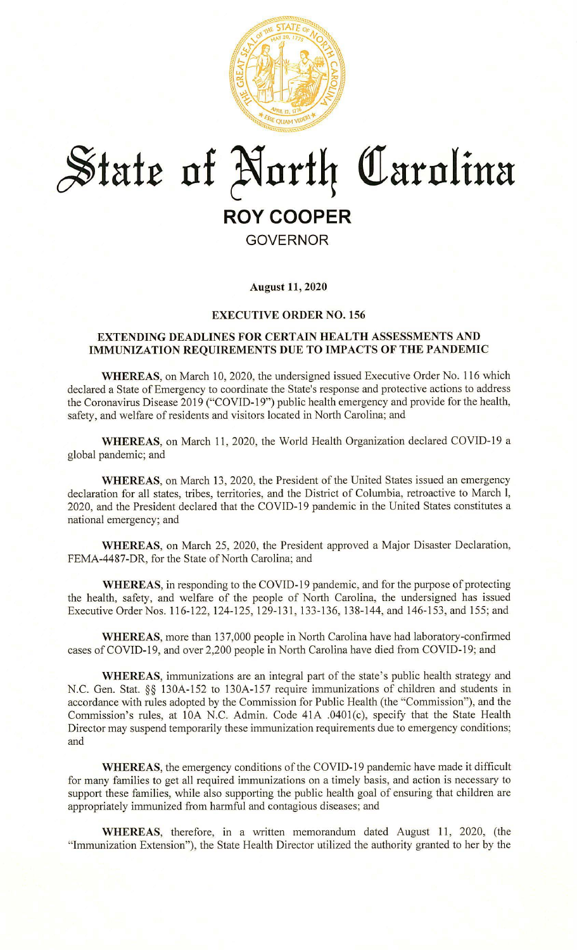

# $*$ tate of North Carolina **ROY COOPER GOVERNOR**

**August 11, 2020** 

#### **EXECUTIVE ORDER NO. 156**

#### **EXTENDING DEADLINES FOR CERTAIN HEAL TH ASSESSMENTS AND IMMUNIZATION REQUIREMENTS DUE TO IMPACTS OF THE PANDEMIC**

**WHEREAS,** on March 10, 2020, the undersigned issued Executive Order No. 116 which declared a State of Emergency to coordinate the State's response and protective actions to address the Coronavirus Disease 2019 ("COVID-19") public health emergency and provide for the health, safety, and welfare of residents and visitors located in North Carolina; and

**WHEREAS,** on March 11, 2020, the World Health Organization declared COVID-19 a global pandemic; and

**WHEREAS,** on March 13, 2020, the President of the United States issued an emergency declaration for all states, tribes, territories, and the District of Columbia, retroactive to March 1, 2020, and the President declared that the COVID-19 pandemic in the United States constitutes a national emergency; and

**WHEREAS,** on March 25, 2020, the President approved a Major Disaster Declaration, FEMA-4487-DR, for the State of North Carolina; and

**WHEREAS,** in responding to the COVID-19 pandemic, and for the purpose of protecting the health, safety, and welfare of the people of North Carolina, the undersigned has issued Executive Order Nos. 116-122, 124-125, 129-131 , 133-136, 138-144, and 146-153, and 155; and

**WHEREAS,** more than 137,000 people in North Carolina have had laboratory-confirmed cases of COVID-19, and over 2,200 people in North Carolina have died from COVID-19; and

**WHEREAS,** immunizations are an integral part of the state's public health strategy and N.C. Gen. Stat. §§ 130A-152 to 130A-157 require immunizations of children and students in accordance with rules adopted by the Commission for Public Health (the "Commission"), and the Commission's rules, at l0A N.C. Admin. Code 41A .0401(c), specify that the State Health Director may suspend temporarily these immunization requirements due to emergency conditions; and

**WHEREAS,** the emergency conditions of the COVID-19 pandemic have made it difficult for many families to get all required immunizations on a timely basis, and action is necessary to support these families, while also supporting the public health goal of ensuring that children are appropriately immunized from harmful and contagious diseases; and

WHEREAS, therefore, in a written memorandum dated August 11, 2020, (the "Immunization Extension"), the State Health Director utilized the authority granted to her by the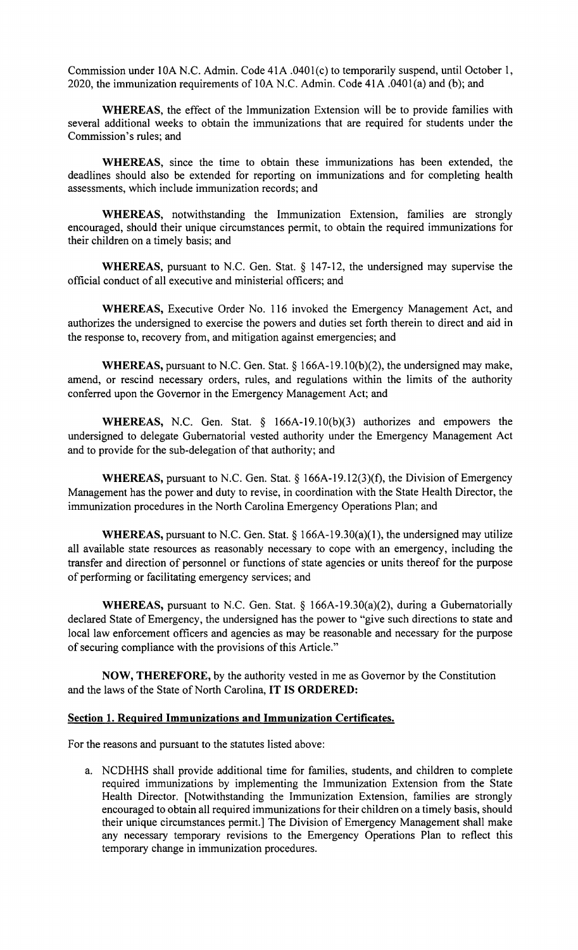Commission under l0A N.C. Admin. Code 41A .040l(c) to temporarily suspend, until October 1, 2020, the immunization requirements of 10A N.C. Admin. Code 41A .040l(a) and (b); and

**WHEREAS,** the effect of the Immunization Extension will be to provide families with several additional weeks to obtain the immunizations that are required for students under the Commission's rules; and

**WHEREAS,** since the time to obtain these immunizations has been extended, the deadlines should also be extended for reporting on immunizations and for completing health assessments, which include immunization records; and

**WHEREAS,** notwithstanding the Immunization Extension, families are strongly encouraged, should their unique circumstances permit, to obtain the required immunizations for their children on a timely basis; and

**WHEREAS,** pursuant to N.C. Gen. Stat. § 147-12, the undersigned may supervise the official conduct of all executive and ministerial officers; and

**WHEREAS,** Executive Order No. 116 invoked the Emergency Management Act, and authorizes the undersigned to exercise the powers and duties set forth therein to direct and aid in the response to, recovery from, and mitigation against emergencies; and

**WHEREAS,** pursuant to N.C. Gen. Stat. § 166A-19.1 0(b)(2), the undersigned may make, amend, or rescind necessary orders, rules, and regulations within the limits of the authority conferred upon the Governor in the Emergency Management Act; and

**WHEREAS,** N.C. Gen. Stat. § 166A-19.10(b)(3) authorizes and empowers the undersigned to delegate Gubernatorial vested authority under the Emergency Management Act and to provide for the sub-delegation of that authority; and

WHEREAS, pursuant to N.C. Gen. Stat. § 166A-19.12(3)(f), the Division of Emergency Management has the power and duty to revise, in coordination with the State Health Director, the immunization procedures in the North Carolina Emergency Operations Plan; and

**WHEREAS,** pursuant to N.C. Gen. Stat. § 166A-19.30(a)(1), the undersigned may utilize all available state resources as reasonably necessary to cope with an emergency, including the transfer and direction of personnel or functions of state agencies or units thereof for the purpose of performing or facilitating emergency services; and

**WHEREAS, pursuant to N.C. Gen. Stat. § 166A-19.30(a)(2), during a Gubernatorially** declared State of Emergency, the undersigned has the power to "give such directions to state and local law enforcement officers and agencies as may be reasonable and necessary for the purpose of securing compliance with the provisions of this Article."

**NOW, THEREFORE,** by the authority vested in me as Governor by the Constitution and the laws of the State of North Carolina, IT IS ORDERED:

### **Section 1. Required Immunizations and Immunization Certificates.**

For the reasons and pursuant to the statutes listed above:

a. NCDHHS shall provide additional time for families, students, and children to complete required immunizations by implementing the Immunization Extension from the State Health Director. [Notwithstanding the Immunization Extension, families are strongly encouraged to obtain all required immunizations for their children on a timely basis, should their unique circumstances permit.] The Division of Emergency Management shall make any necessary temporary revisions to the Emergency Operations Plan to reflect this temporary change in immunization procedures.